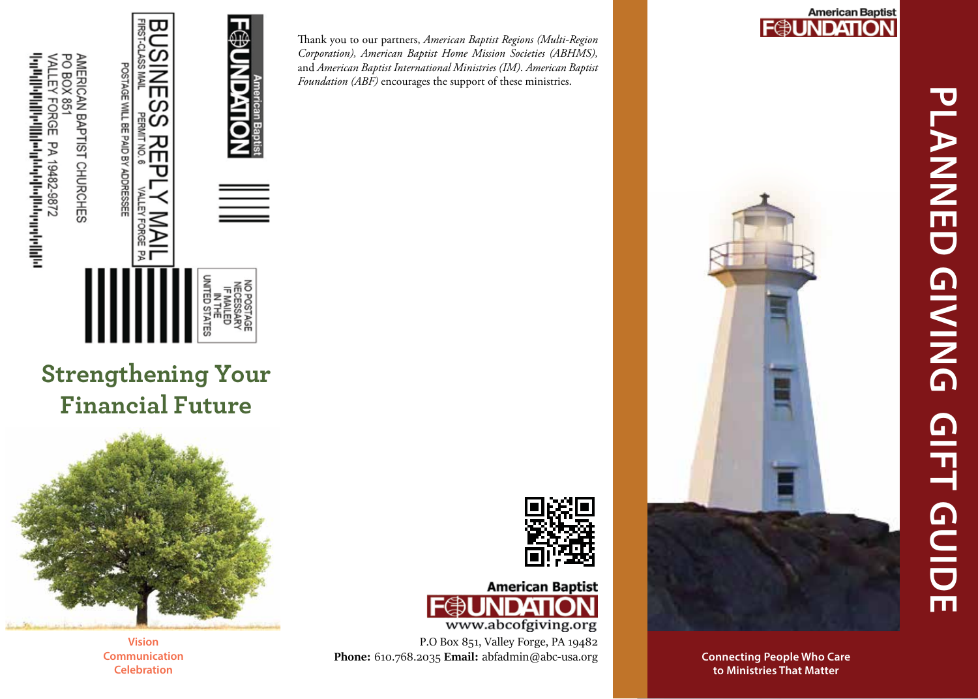

Thank you to our partners, *American Baptist Regions (Multi-Region Corporation), American Baptist Home Mission Societies (ABHMS),*  and *American Baptist International Ministries (IM)*. *American Baptist Foundation (ABF)* encourages the support of these ministries.

## **American Baptist<br>FOUNDATION**



**Connecting People Who Care to Ministries That MatterConnecting People Who Care** 

**Strengthening Your Financial Future**



**Vision Communication Celebration**





P.O Box 851, Valley Forge, PA 19482 **Phone :** 610.768.2035 **Email:** abfadmin@abc-usa.or g